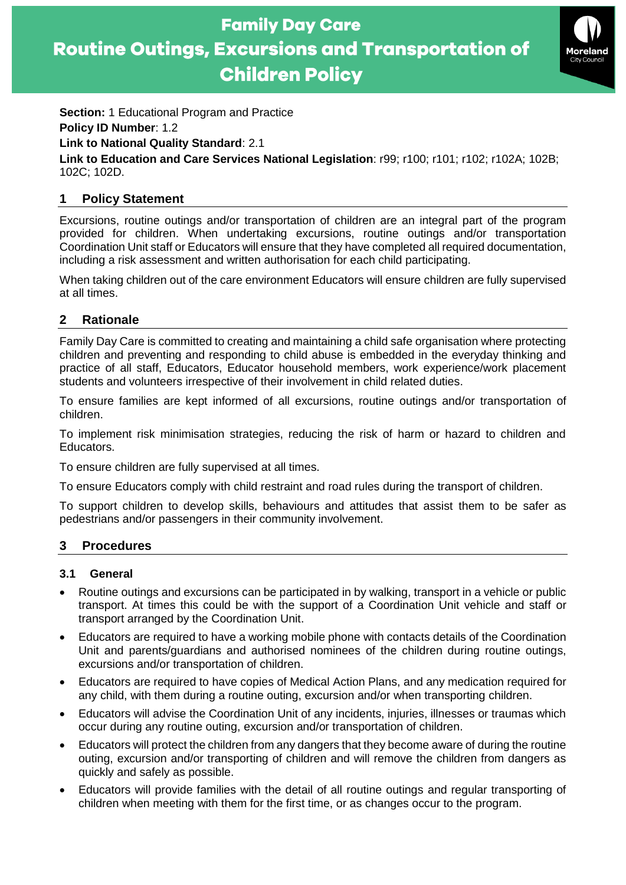**Family Day Care Routine Outings, Excursions and Transportation of Children Policy** 



**Section: 1 Educational Program and Practice Policy ID Number**: 1.2

## **Link to National Quality Standard**: 2.1

**Link to Education and Care Services National Legislation**: r99; r100; r101; r102; r102A; 102B; 102C; 102D.

## **1 Policy Statement**

Excursions, routine outings and/or transportation of children are an integral part of the program provided for children. When undertaking excursions, routine outings and/or transportation Coordination Unit staff or Educators will ensure that they have completed all required documentation, including a risk assessment and written authorisation for each child participating.

When taking children out of the care environment Educators will ensure children are fully supervised at all times.

## **2 Rationale**

Family Day Care is committed to creating and maintaining a child safe organisation where protecting children and preventing and responding to child abuse is embedded in the everyday thinking and practice of all staff, Educators, Educator household members, work experience/work placement students and volunteers irrespective of their involvement in child related duties.

To ensure families are kept informed of all excursions, routine outings and/or transportation of children.

To implement risk minimisation strategies, reducing the risk of harm or hazard to children and Educators.

To ensure children are fully supervised at all times.

To ensure Educators comply with child restraint and road rules during the transport of children.

To support children to develop skills, behaviours and attitudes that assist them to be safer as pedestrians and/or passengers in their community involvement.

# **3 Procedures**

#### **3.1 General**

- Routine outings and excursions can be participated in by walking, transport in a vehicle or public transport. At times this could be with the support of a Coordination Unit vehicle and staff or transport arranged by the Coordination Unit.
- Educators are required to have a working mobile phone with contacts details of the Coordination Unit and parents/guardians and authorised nominees of the children during routine outings, excursions and/or transportation of children.
- Educators are required to have copies of Medical Action Plans, and any medication required for any child, with them during a routine outing, excursion and/or when transporting children.
- Educators will advise the Coordination Unit of any incidents, injuries, illnesses or traumas which occur during any routine outing, excursion and/or transportation of children.
- Educators will protect the children from any dangers that they become aware of during the routine outing, excursion and/or transporting of children and will remove the children from dangers as quickly and safely as possible.
- Educators will provide families with the detail of all routine outings and regular transporting of children when meeting with them for the first time, or as changes occur to the program.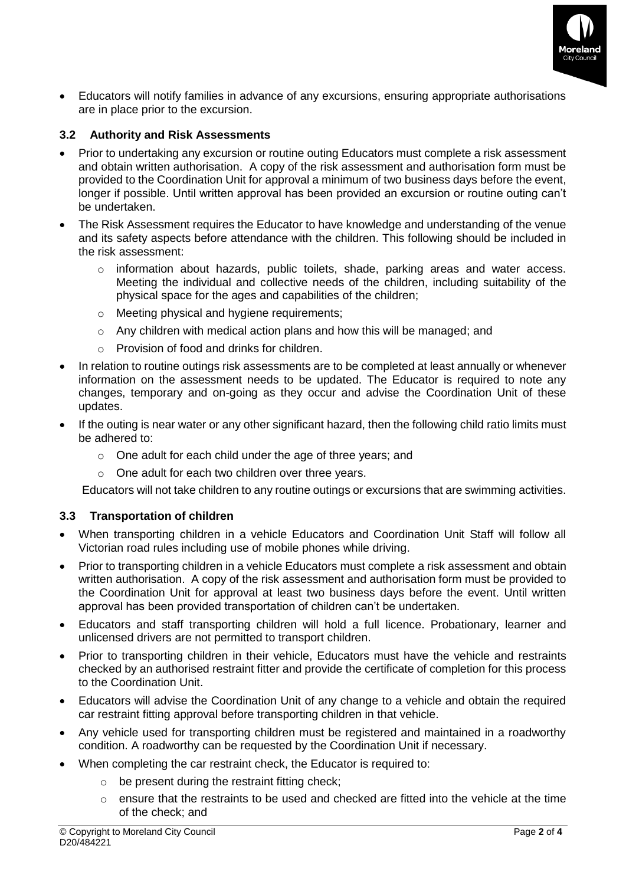

• Educators will notify families in advance of any excursions, ensuring appropriate authorisations are in place prior to the excursion.

### **3.2 Authority and Risk Assessments**

- Prior to undertaking any excursion or routine outing Educators must complete a risk assessment and obtain written authorisation. A copy of the risk assessment and authorisation form must be provided to the Coordination Unit for approval a minimum of two business days before the event, longer if possible. Until written approval has been provided an excursion or routine outing can't be undertaken.
- The Risk Assessment requires the Educator to have knowledge and understanding of the venue and its safety aspects before attendance with the children. This following should be included in the risk assessment:
	- $\circ$  information about hazards, public toilets, shade, parking areas and water access. Meeting the individual and collective needs of the children, including suitability of the physical space for the ages and capabilities of the children;
	- o Meeting physical and hygiene requirements;
	- $\circ$  Any children with medical action plans and how this will be managed; and
	- o Provision of food and drinks for children.
- In relation to routine outings risk assessments are to be completed at least annually or whenever information on the assessment needs to be updated. The Educator is required to note any changes, temporary and on-going as they occur and advise the Coordination Unit of these updates.
- If the outing is near water or any other significant hazard, then the following child ratio limits must be adhered to:
	- o One adult for each child under the age of three years; and
	- o One adult for each two children over three years.

Educators will not take children to any routine outings or excursions that are swimming activities.

#### **3.3 Transportation of children**

- When transporting children in a vehicle Educators and Coordination Unit Staff will follow all Victorian road rules including use of mobile phones while driving.
- Prior to transporting children in a vehicle Educators must complete a risk assessment and obtain written authorisation. A copy of the risk assessment and authorisation form must be provided to the Coordination Unit for approval at least two business days before the event. Until written approval has been provided transportation of children can't be undertaken.
- Educators and staff transporting children will hold a full licence. Probationary, learner and unlicensed drivers are not permitted to transport children.
- Prior to transporting children in their vehicle, Educators must have the vehicle and restraints checked by an authorised restraint fitter and provide the certificate of completion for this process to the Coordination Unit.
- Educators will advise the Coordination Unit of any change to a vehicle and obtain the required car restraint fitting approval before transporting children in that vehicle.
- Any vehicle used for transporting children must be registered and maintained in a roadworthy condition. A roadworthy can be requested by the Coordination Unit if necessary.
- When completing the car restraint check, the Educator is required to:
	- $\circ$  be present during the restraint fitting check;
	- $\circ$  ensure that the restraints to be used and checked are fitted into the vehicle at the time of the check; and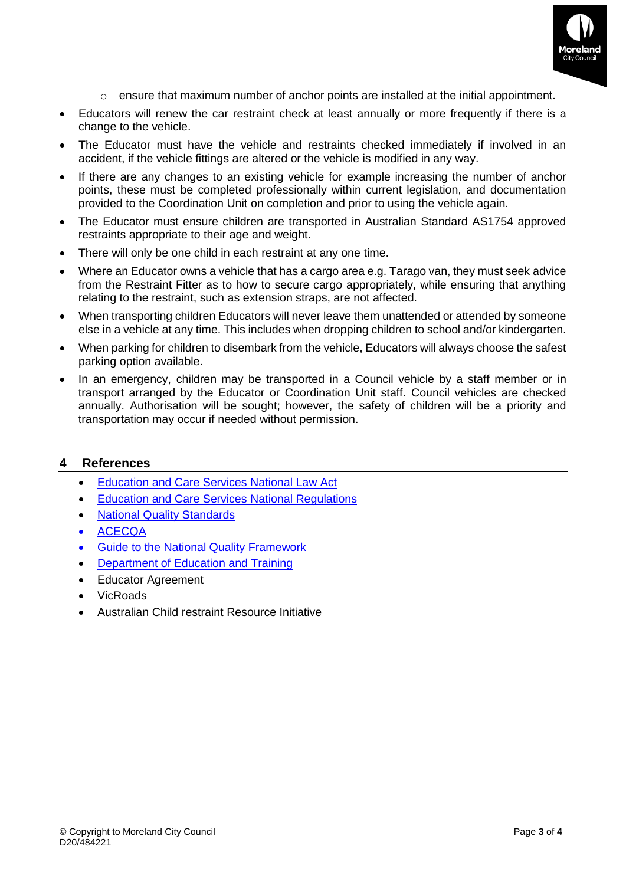

- o ensure that maximum number of anchor points are installed at the initial appointment.
- Educators will renew the car restraint check at least annually or more frequently if there is a change to the vehicle.
- The Educator must have the vehicle and restraints checked immediately if involved in an accident, if the vehicle fittings are altered or the vehicle is modified in any way.
- If there are any changes to an existing vehicle for example increasing the number of anchor points, these must be completed professionally within current legislation, and documentation provided to the Coordination Unit on completion and prior to using the vehicle again.
- The Educator must ensure children are transported in Australian Standard AS1754 approved restraints appropriate to their age and weight.
- There will only be one child in each restraint at any one time.
- Where an Educator owns a vehicle that has a cargo area e.g. Tarago van, they must seek advice from the Restraint Fitter as to how to secure cargo appropriately, while ensuring that anything relating to the restraint, such as extension straps, are not affected.
- When transporting children Educators will never leave them unattended or attended by someone else in a vehicle at any time. This includes when dropping children to school and/or kindergarten.
- When parking for children to disembark from the vehicle, Educators will always choose the safest parking option available.
- In an emergency, children may be transported in a Council vehicle by a staff member or in transport arranged by the Educator or Coordination Unit staff. Council vehicles are checked annually. Authorisation will be sought; however, the safety of children will be a priority and transportation may occur if needed without permission.

#### **4 References**

- [Education and Care Services National Law Act](https://www.acecqa.gov.au/nqf/national-law-regulations/national-law)
- [Education and Care Services National Regulations](https://www.acecqa.gov.au/nqf/national-law-regulations/national-regulations)
- [National Quality Standards](https://www.acecqa.gov.au/nqf/national-quality-standard)
- [ACECQA](https://www.acecqa.gov.au/)
- [Guide to the National Quality Framework](https://www.acecqa.gov.au/sites/default/files/2020-09/Guide-to-the-NQF-September-2020.pdf)
- [Department of Education and Training](https://www.education.vic.gov.au/childhood/providers/regulation/Pages/Criminalhistoryrequirements.aspx#link90)
- Educator Agreement
- VicRoads
- Australian Child restraint Resource Initiative